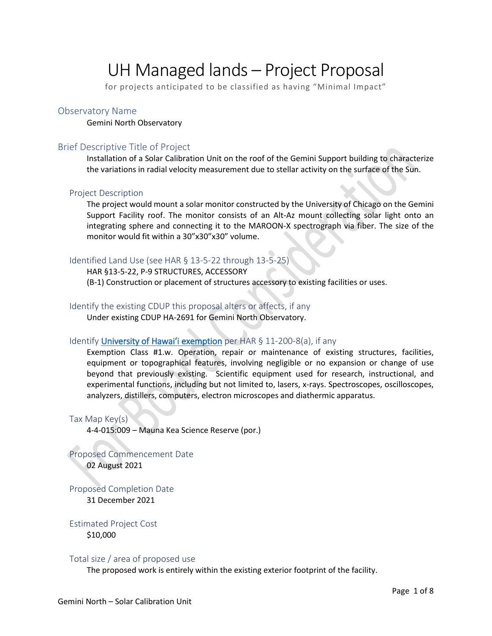# UH Managed lands – Project Proposal

for projects anticipated to be classified as having "Minimal Impact"

### Observatory Name

Gemini North Observatory

### Brief Descriptive Title of Project

Installation of a Solar Calibration Unit on the roof of the Gemini Support building to characterize the variations in radial velocity measurement due to stellar activity on the surface of the Sun.

### Project Description

The project would mount a solar monitor constructed by the University of Chicago on the Gemini Support Facility roof. The monitor consists of an Alt-Az mount collecting solar light onto an integrating sphere and connecting it to the MAROON-X spectrograph via fiber. The size of the monitor would fit within a 30"x30"x30" volume.

### Identified Land Use (see HAR § 13-5-22 through 13-5-25)

HAR §13-5-22, P-9 STRUCTURES, ACCESSORY (B-1) Construction or placement of structures accessory to existing facilities or uses.

### Identify the existing CDUP this proposal alters or affects, if any

Under existing CDUP HA-2691 for Gemini North Observatory.

### Identify University of Hawai'i exemption per HAR § 11-200-8(a), if any

Exemption Class #1.w. Operation, repair or maintenance of existing structures, facilities, equipment or topographical features, involving negligible or no expansion or change of use beyond that previously existing. Scientific equipment used for research, instructional, and experimental functions, including but not limited to, lasers, x-rays. Spectroscopes, oscilloscopes, analyzers, distillers, computers, electron microscopes and diathermic apparatus.

Tax Map Key(s) 4-4-015:009 – Mauna Kea Science Reserve (por.)

Proposed Commencement Date 02 August 2021

Proposed Completion Date 31 December 2021

Estimated Project Cost \$10,000

#### Total size / area of proposed use

The proposed work is entirely within the existing exterior footprint of the facility.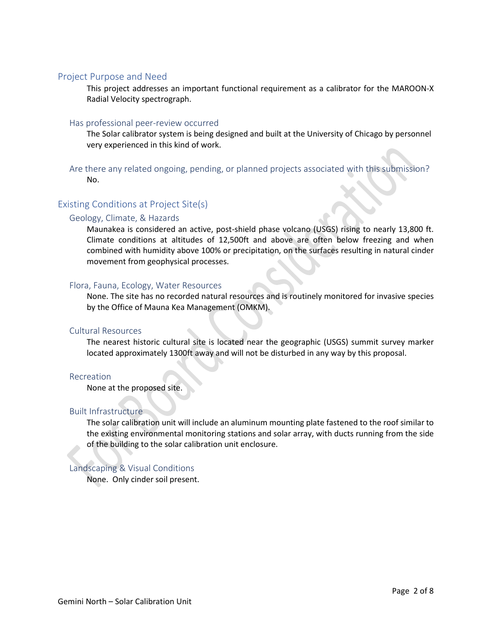### Project Purpose and Need

This project addresses an important functional requirement as a calibrator for the MAROON-X Radial Velocity spectrograph.

### Has professional peer-review occurred

The Solar calibrator system is being designed and built at the University of Chicago by personnel very experienced in this kind of work.

Are there any related ongoing, pending, or planned projects associated with this submission? No.

### Existing Conditions at Project Site(s)

### Geology, Climate, & Hazards

Maunakea is considered an active, post-shield phase volcano (USGS) rising to nearly 13,800 ft. Climate conditions at altitudes of 12,500ft and above are often below freezing and when combined with humidity above 100% or precipitation, on the surfaces resulting in natural cinder movement from geophysical processes.

### Flora, Fauna, Ecology, Water Resources

None. The site has no recorded natural resources and is routinely monitored for invasive species by the Office of Mauna Kea Management (OMKM).

### Cultural Resources

The nearest historic cultural site is located near the geographic (USGS) summit survey marker located approximately 1300ft away and will not be disturbed in any way by this proposal.

### Recreation

None at the proposed site.

### Built Infrastructure

The solar calibration unit will include an aluminum mounting plate fastened to the roof similar to the existing environmental monitoring stations and solar array, with ducts running from the side of the building to the solar calibration unit enclosure.

### Landscaping & Visual Conditions

None. Only cinder soil present.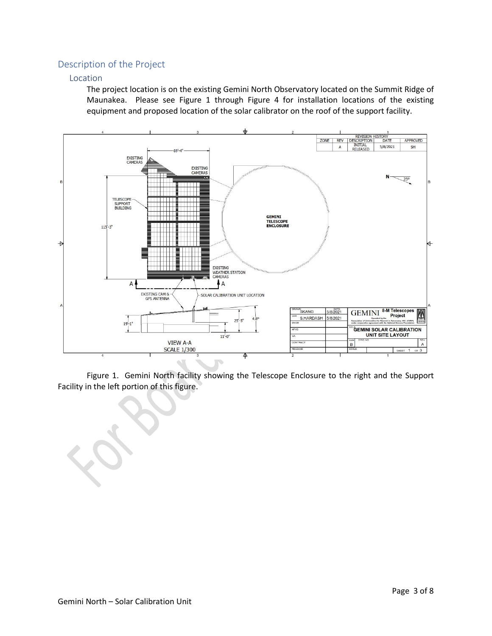# Description of the Project

### Location

The project location is on the existing Gemini North Observatory located on the Summit Ridge of Maunakea. Please see Figure 1 through Figure 4 for installation locations of the existing equipment and proposed location of the solar calibrator on the roof of the support facility.



Figure 1. Gemini North facility showing the Telescope Enclosure to the right and the Support Facility in the left portion of this figure.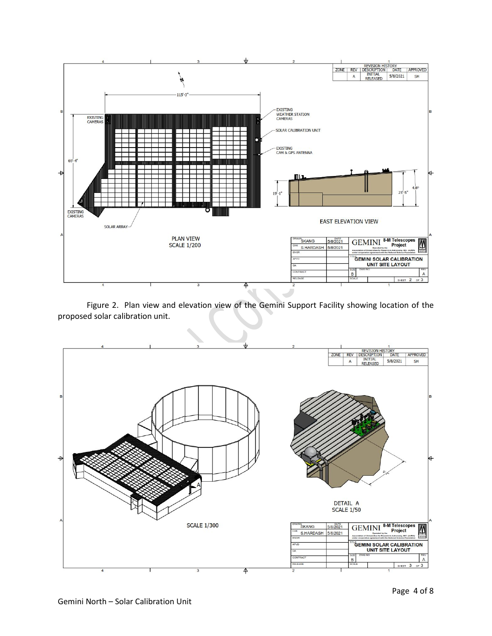

Figure 2. Plan view and elevation view of the Gemini Support Facility showing location of the proposed solar calibration unit.

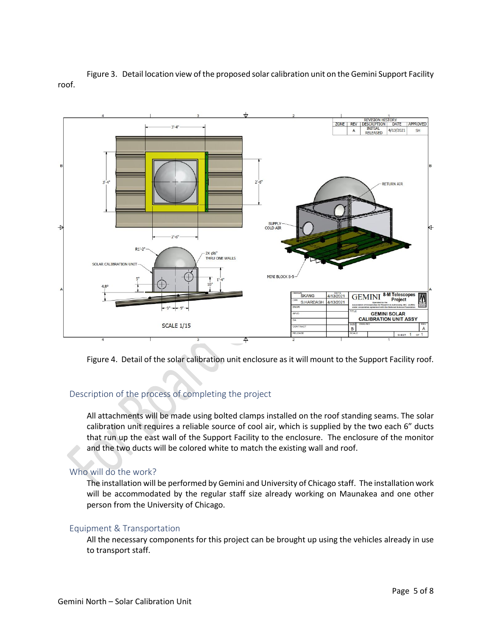



Figure 4. Detail of the solar calibration unit enclosure as it will mount to the Support Facility roof.

# Description of the process of completing the project

All attachments will be made using bolted clamps installed on the roof standing seams. The solar calibration unit requires a reliable source of cool air, which is supplied by the two each 6" ducts that run up the east wall of the Support Facility to the enclosure. The enclosure of the monitor and the two ducts will be colored white to match the existing wall and roof.

# Who will do the work?

The installation will be performed by Gemini and University of Chicago staff. The installation work will be accommodated by the regular staff size already working on Maunakea and one other person from the University of Chicago.

### Equipment & Transportation

All the necessary components for this project can be brought up using the vehicles already in use to transport staff.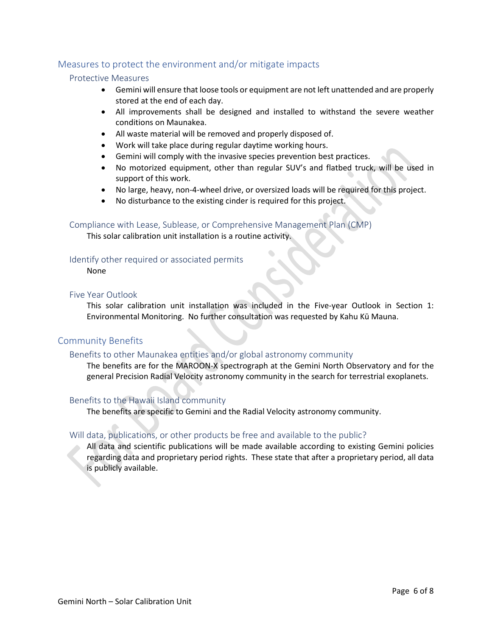# Measures to protect the environment and/or mitigate impacts

### Protective Measures

- Gemini will ensure that loose tools or equipment are not left unattended and are properly stored at the end of each day.
- All improvements shall be designed and installed to withstand the severe weather conditions on Maunakea.
- All waste material will be removed and properly disposed of.
- Work will take place during regular daytime working hours.
- Gemini will comply with the invasive species prevention best practices.
- No motorized equipment, other than regular SUV's and flatbed truck, will be used in support of this work.
- No large, heavy, non-4-wheel drive, or oversized loads will be required for this project.
- No disturbance to the existing cinder is required for this project.

### Compliance with Lease, Sublease, or Comprehensive Management Plan (CMP)

This solar calibration unit installation is a routine activity.

### Identify other required or associated permits

None

### Five Year Outlook

This solar calibration unit installation was included in the Five-year Outlook in Section 1: Environmental Monitoring. No further consultation was requested by Kahu Kū Mauna.

# Community Benefits

### Benefits to other Maunakea entities and/or global astronomy community

The benefits are for the MAROON-X spectrograph at the Gemini North Observatory and for the general Precision Radial Velocity astronomy community in the search for terrestrial exoplanets.

### Benefits to the Hawaii Island community

The benefits are specific to Gemini and the Radial Velocity astronomy community.

### Will data, publications, or other products be free and available to the public?

All data and scientific publications will be made available according to existing Gemini policies regarding data and proprietary period rights. These state that after a proprietary period, all data is publicly available.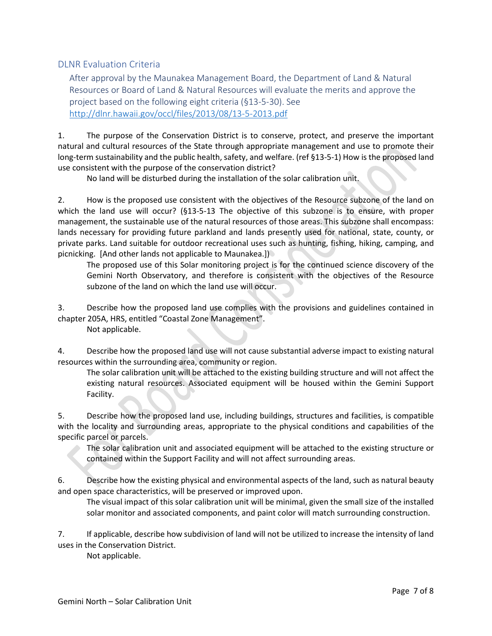# DLNR Evaluation Criteria

After approval by the Maunakea Management Board, the Department of Land & Natural Resources or Board of Land & Natural Resources will evaluate the merits and approve the project based on the following eight criteria (§13-5-30). See <http://dlnr.hawaii.gov/occl/files/2013/08/13-5-2013.pdf>

1. The purpose of the Conservation District is to conserve, protect, and preserve the important natural and cultural resources of the State through appropriate management and use to promote their long-term sustainability and the public health, safety, and welfare. (ref §13-5-1) How is the proposed land use consistent with the purpose of the conservation district?

No land will be disturbed during the installation of the solar calibration unit.

2. How is the proposed use consistent with the objectives of the Resource subzone of the land on which the land use will occur? (§13-5-13 The objective of this subzone is to ensure, with proper management, the sustainable use of the natural resources of those areas. This subzone shall encompass: lands necessary for providing future parkland and lands presently used for national, state, county, or private parks. Land suitable for outdoor recreational uses such as hunting, fishing, hiking, camping, and picnicking. [And other lands not applicable to Maunakea.])

The proposed use of this Solar monitoring project is for the continued science discovery of the Gemini North Observatory, and therefore is consistent with the objectives of the Resource subzone of the land on which the land use will occur.

3. Describe how the proposed land use complies with the provisions and guidelines contained in chapter 205A, HRS, entitled "Coastal Zone Management".

Not applicable.

4. Describe how the proposed land use will not cause substantial adverse impact to existing natural resources within the surrounding area, community or region.

The solar calibration unit will be attached to the existing building structure and will not affect the existing natural resources. Associated equipment will be housed within the Gemini Support Facility.

5. Describe how the proposed land use, including buildings, structures and facilities, is compatible with the locality and surrounding areas, appropriate to the physical conditions and capabilities of the specific parcel or parcels.

The solar calibration unit and associated equipment will be attached to the existing structure or contained within the Support Facility and will not affect surrounding areas.

6. Describe how the existing physical and environmental aspects of the land, such as natural beauty and open space characteristics, will be preserved or improved upon.

The visual impact of this solar calibration unit will be minimal, given the small size of the installed solar monitor and associated components, and paint color will match surrounding construction.

7. If applicable, describe how subdivision of land will not be utilized to increase the intensity of land uses in the Conservation District.

Not applicable.